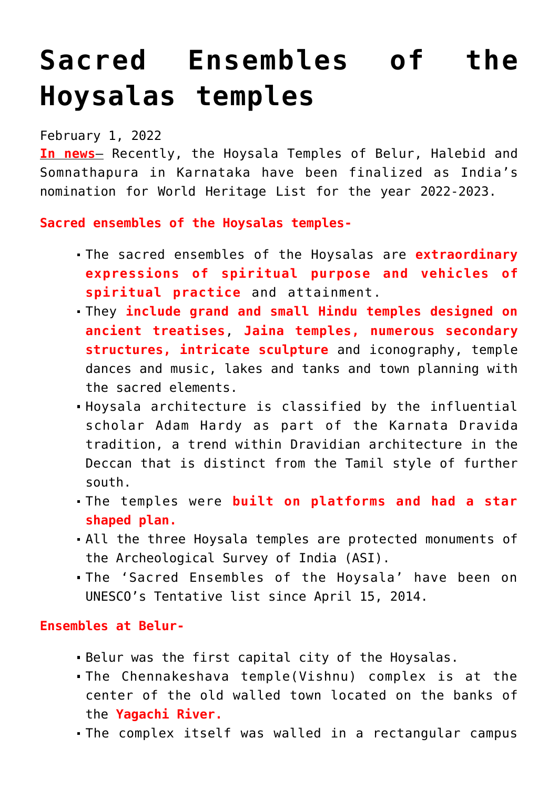# **[Sacred Ensembles of the](https://journalsofindia.com/sacred-ensembles-of-the-hoysalas-temples/) [Hoysalas temples](https://journalsofindia.com/sacred-ensembles-of-the-hoysalas-temples/)**

## February 1, 2022

**In news**– Recently, the Hoysala Temples of Belur, Halebid and Somnathapura in Karnataka have been finalized as India's nomination for World Heritage List for the year 2022-2023.

**Sacred ensembles of the Hoysalas temples-**

- The sacred ensembles of the Hoysalas are **extraordinary expressions of spiritual purpose and vehicles of spiritual practice** and attainment.
- They **include grand and small Hindu temples designed on ancient treatises**, **Jaina temples, numerous secondary structures, intricate sculpture** and iconography, temple dances and music, lakes and tanks and town planning with the sacred elements.
- Hoysala architecture is classified by the influential scholar Adam Hardy as part of the Karnata Dravida tradition, a trend within Dravidian architecture in the Deccan that is distinct from the Tamil style of further south.
- The temples were **built on platforms and had a star shaped plan.**
- All the three Hoysala temples are protected monuments of the Archeological Survey of India (ASI).
- The 'Sacred Ensembles of the Hoysala' have been on UNESCO's Tentative list since April 15, 2014.

#### **Ensembles at Belur-**

- Belur was the first capital city of the Hoysalas.
- The Chennakeshava temple(Vishnu) complex is at the center of the old walled town located on the banks of the **Yagachi River.**
- The complex itself was walled in a rectangular campus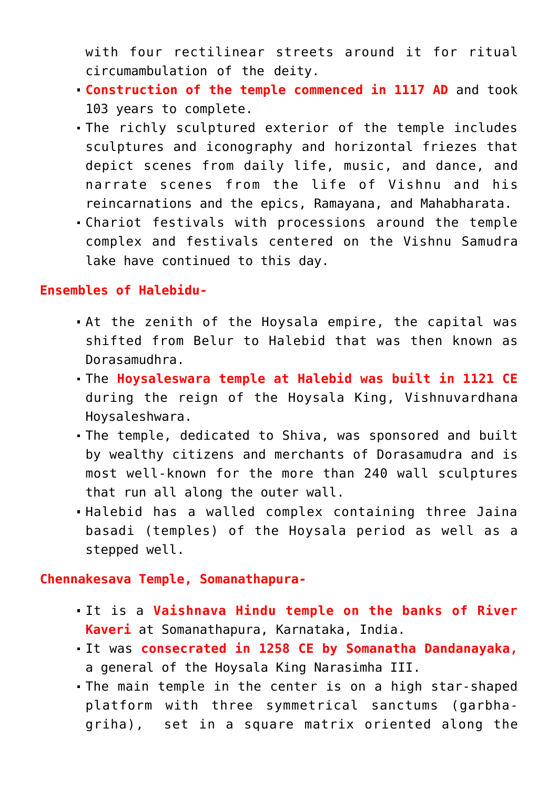with four rectilinear streets around it for ritual circumambulation of the deity.

- **Construction of the temple commenced in 1117 AD** and took 103 years to complete.
- The richly sculptured exterior of the temple includes sculptures and iconography and horizontal friezes that depict scenes from daily life, music, and dance, and narrate scenes from the life of Vishnu and his reincarnations and the epics, Ramayana, and Mahabharata.
- Chariot festivals with processions around the temple complex and festivals centered on the Vishnu Samudra lake have continued to this day.

#### **Ensembles of Halebidu-**

- At the zenith of the Hoysala empire, the capital was shifted from Belur to Halebid that was then known as Dorasamudhra.
- The **Hoysaleswara temple at Halebid was built in 1121 CE** during the reign of the Hoysala King, Vishnuvardhana Hoysaleshwara.
- The temple, dedicated to Shiva, was sponsored and built by wealthy citizens and merchants of Dorasamudra and is most well-known for the more than 240 wall sculptures that run all along the outer wall.
- Halebid has a walled complex containing three Jaina basadi (temples) of the Hoysala period as well as a stepped well.

**Chennakesava Temple, Somanathapura-**

- It is a **Vaishnava Hindu temple on the banks of River Kaveri** at Somanathapura, Karnataka, India.
- It was **consecrated in 1258 CE by Somanatha Dandanayaka,** a general of the Hoysala King Narasimha III.
- The main temple in the center is on a high star-shaped platform with three symmetrical sanctums (garbhagriha), set in a square matrix oriented along the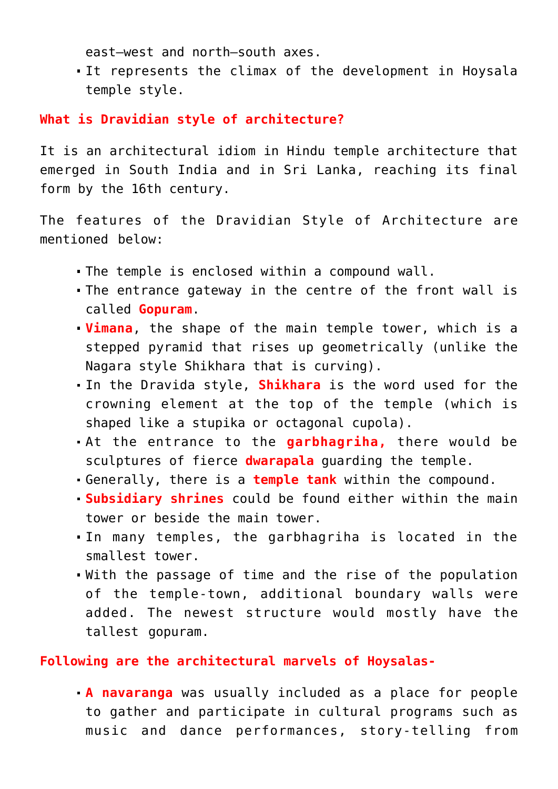east–west and north–south axes.

It represents the climax of the development in Hoysala temple style.

#### **What is Dravidian style of architecture?**

It is an architectural idiom in Hindu temple architecture that emerged in South India and in Sri Lanka, reaching its final form by the 16th century.

The features of the Dravidian Style of Architecture are mentioned below:

- The temple is enclosed within a compound wall.
- The entrance gateway in the centre of the front wall is called **Gopuram**.
- **Vimana**, the shape of the main temple tower, which is a stepped pyramid that rises up geometrically (unlike the Nagara style Shikhara that is curving).
- In the Dravida style, **Shikhara** is the word used for the crowning element at the top of the temple (which is shaped like a stupika or octagonal cupola).
- At the entrance to the **garbhagriha,** there would be sculptures of fierce **dwarapala** guarding the temple.
- Generally, there is a **temple tank** within the compound.
- **Subsidiary shrines** could be found either within the main tower or beside the main tower.
- In many temples, the garbhagriha is located in the smallest tower.
- With the passage of time and the rise of the population of the temple-town, additional boundary walls were added. The newest structure would mostly have the tallest gopuram.

#### **Following are the architectural marvels of Hoysalas-**

**A navaranga** was usually included as a place for people to gather and participate in cultural programs such as music and dance performances, story-telling from